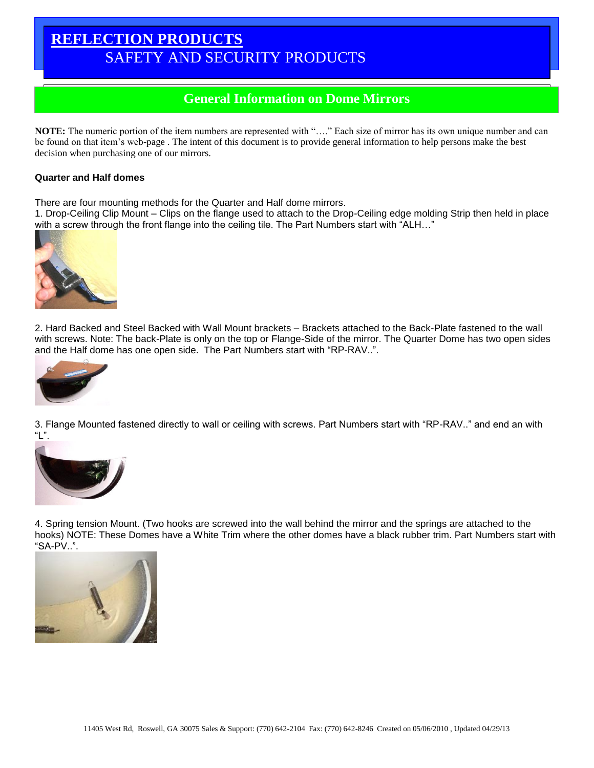## **REFLECTION PRODUCTS** SAFETY AND SECURITY PRODUCTS

# Round Convex Mirrors **General Information on Dome Mirrors**

**NOTE:** The numeric portion of the item numbers are represented with "…." Each size of mirror has its own unique number and can be found on that item's web-page . The intent of this document is to provide general information to help persons make the best decision when purchasing one of our mirrors.

### **Quarter and Half domes**

There are four mounting methods for the Quarter and Half dome mirrors.

1. Drop-Ceiling Clip Mount – Clips on the flange used to attach to the Drop-Ceiling edge molding Strip then held in place with a screw through the front flange into the ceiling tile. The Part Numbers start with "ALH..."



2. Hard Backed and Steel Backed with Wall Mount brackets – Brackets attached to the Back-Plate fastened to the wall with screws. Note: The back-Plate is only on the top or Flange-Side of the mirror. The Quarter Dome has two open sides and the Half dome has one open side. The Part Numbers start with "RP-RAV..".



3. Flange Mounted fastened directly to wall or ceiling with screws. Part Numbers start with "RP-RAV.." and end an with "L".



4. Spring tension Mount. (Two hooks are screwed into the wall behind the mirror and the springs are attached to the hooks) NOTE: These Domes have a White Trim where the other domes have a black rubber trim. Part Numbers start with "SA-PV..".

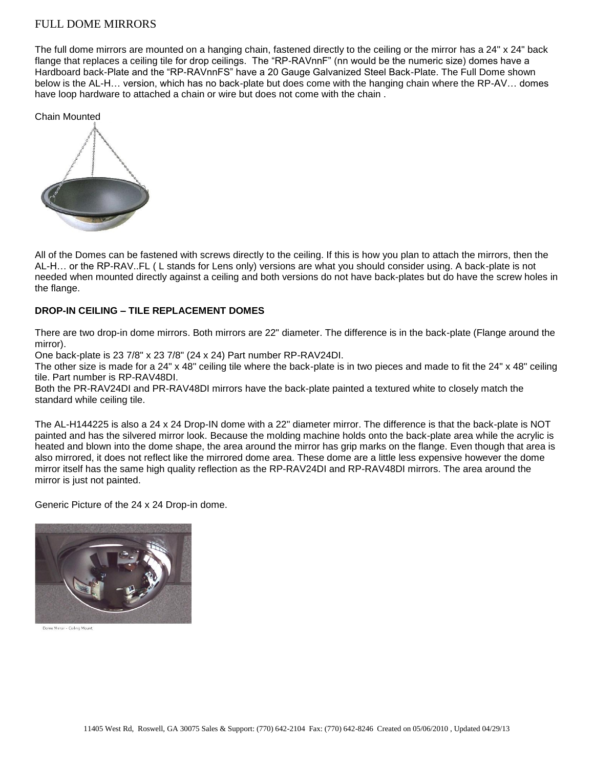## FULL DOME MIRRORS

The full dome mirrors are mounted on a hanging chain, fastened directly to the ceiling or the mirror has a 24" x 24" back flange that replaces a ceiling tile for drop ceilings. The "RP-RAVnnF" (nn would be the numeric size) domes have a Hardboard back-Plate and the "RP-RAVnnFS" have a 20 Gauge Galvanized Steel Back-Plate. The Full Dome shown below is the AL-H… version, which has no back-plate but does come with the hanging chain where the RP-AV… domes have loop hardware to attached a chain or wire but does not come with the chain .

Chain Mounted



All of the Domes can be fastened with screws directly to the ceiling. If this is how you plan to attach the mirrors, then the AL-H… or the RP-RAV..FL ( L stands for Lens only) versions are what you should consider using. A back-plate is not needed when mounted directly against a ceiling and both versions do not have back-plates but do have the screw holes in the flange.

## **DROP-IN CEILING – TILE REPLACEMENT DOMES**

There are two drop-in dome mirrors. Both mirrors are 22" diameter. The difference is in the back-plate (Flange around the mirror).

One back-plate is 23 7/8" x 23 7/8" (24 x 24) Part number RP-RAV24DI.

The other size is made for a 24" x 48" ceiling tile where the back-plate is in two pieces and made to fit the 24" x 48" ceiling tile. Part number is RP-RAV48DI.

Both the PR-RAV24DI and PR-RAV48DI mirrors have the back-plate painted a textured white to closely match the standard while ceiling tile.

The AL-H144225 is also a 24 x 24 Drop-IN dome with a 22" diameter mirror. The difference is that the back-plate is NOT painted and has the silvered mirror look. Because the molding machine holds onto the back-plate area while the acrylic is heated and blown into the dome shape, the area around the mirror has grip marks on the flange. Even though that area is also mirrored, it does not reflect like the mirrored dome area. These dome are a little less expensive however the dome mirror itself has the same high quality reflection as the RP-RAV24DI and RP-RAV48DI mirrors. The area around the mirror is just not painted.

Generic Picture of the 24 x 24 Drop-in dome.



Dome Mirror - Ceiling Mount